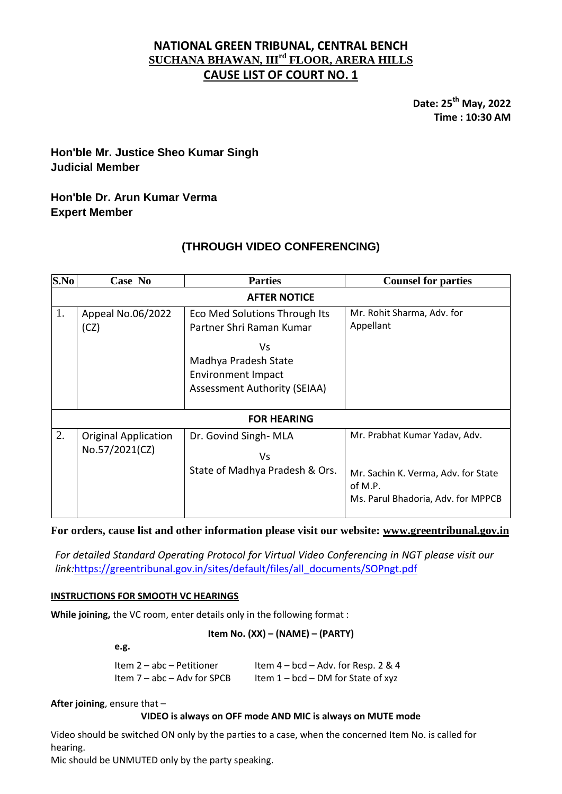## **NATIONAL GREEN TRIBUNAL, CENTRAL BENCH SUCHANA BHAWAN, IIIrd FLOOR, ARERA HILLS CAUSE LIST OF COURT NO. 1**

**Date: 25 th May, 2022 Time : 10:30 AM**

# **Hon'ble Mr. Justice Sheo Kumar Singh Judicial Member**

## **Hon'ble Dr. Arun Kumar Verma Expert Member**

# **(THROUGH VIDEO CONFERENCING)**

| S.No                | Case No                                       | <b>Parties</b>                                                                                                                                              | <b>Counsel for parties</b>                                                                                            |  |
|---------------------|-----------------------------------------------|-------------------------------------------------------------------------------------------------------------------------------------------------------------|-----------------------------------------------------------------------------------------------------------------------|--|
| <b>AFTER NOTICE</b> |                                               |                                                                                                                                                             |                                                                                                                       |  |
| 1.                  | Appeal No.06/2022<br>(CZ)                     | Eco Med Solutions Through Its<br>Partner Shri Raman Kumar<br>Vs<br>Madhya Pradesh State<br><b>Environment Impact</b><br><b>Assessment Authority (SEIAA)</b> | Mr. Rohit Sharma, Adv. for<br>Appellant                                                                               |  |
| <b>FOR HEARING</b>  |                                               |                                                                                                                                                             |                                                                                                                       |  |
| 2.                  | <b>Original Application</b><br>No.57/2021(CZ) | Dr. Govind Singh-MLA<br>Vs<br>State of Madhya Pradesh & Ors.                                                                                                | Mr. Prabhat Kumar Yadav, Adv.<br>Mr. Sachin K. Verma, Adv. for State<br>of M.P.<br>Ms. Parul Bhadoria, Adv. for MPPCB |  |

**For orders, cause list and other information please visit our website: [www.greentribunal.gov.in](http://www.greentribunal.gov.in/)**

*For detailed Standard Operating Protocol for Virtual Video Conferencing in NGT please visit our link:*[https://greentribunal.gov.in/sites/default/files/all\\_documents/SOPngt.pdf](https://greentribunal.gov.in/sites/default/files/all_documents/SOPngt.pdf)

## **INSTRUCTIONS FOR SMOOTH VC HEARINGS**

**While joining,** the VC room, enter details only in the following format :

#### **Item No. (XX) – (NAME) – (PARTY)**

**e.g.**

| Item 2 - abc - Petitioner   | Item $4 - bcd - Adv.$ for Resp. 2 & 4 |
|-----------------------------|---------------------------------------|
| Item 7 - abc - Adv for SPCB | Item $1 - bcd - DM$ for State of xyz  |

**After joining**, ensure that –

## **VIDEO is always on OFF mode AND MIC is always on MUTE mode**

Video should be switched ON only by the parties to a case, when the concerned Item No. is called for hearing.

Mic should be UNMUTED only by the party speaking.